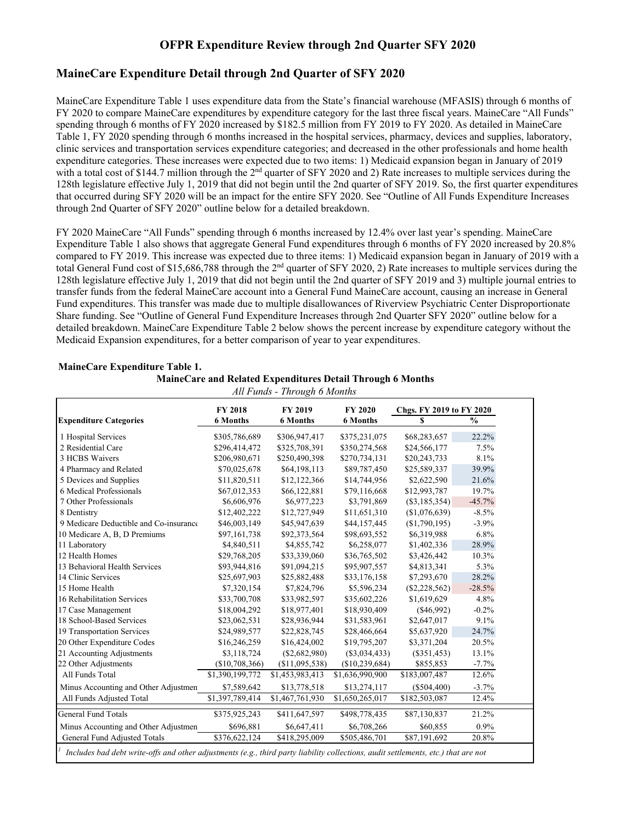# **OFPR Expenditure Review through 2nd Quarter SFY 2020**

# **MaineCare Expenditure Detail through 2nd Quarter of SFY 2020**

MaineCare Expenditure Table 1 uses expenditure data from the State's financial warehouse (MFASIS) through 6 months of FY 2020 to compare MaineCare expenditures by expenditure category for the last three fiscal years. MaineCare "All Funds" spending through 6 months of FY 2020 increased by \$182.5 million from FY 2019 to FY 2020. As detailed in MaineCare Table 1, FY 2020 spending through 6 months increased in the hospital services, pharmacy, devices and supplies, laboratory, clinic services and transportation services expenditure categories; and decreased in the other professionals and home health expenditure categories. These increases were expected due to two items: 1) Medicaid expansion began in January of 2019 with a total cost of \$144.7 million through the  $2<sup>nd</sup>$  quarter of SFY 2020 and 2) Rate increases to multiple services during the 128th legislature effective July 1, 2019 that did not begin until the 2nd quarter of SFY 2019. So, the first quarter expenditures that occurred during SFY 2020 will be an impact for the entire SFY 2020. See "Outline of All Funds Expenditure Increases through 2nd Quarter of SFY 2020" outline below for a detailed breakdown.

FY 2020 MaineCare "All Funds" spending through 6 months increased by 12.4% over last year's spending. MaineCare Expenditure Table 1 also shows that aggregate General Fund expenditures through 6 months of FY 2020 increased by 20.8% compared to FY 2019. This increase was expected due to three items: 1) Medicaid expansion began in January of 2019 with a total General Fund cost of \$15,686,788 through the 2nd quarter of SFY 2020, 2) Rate increases to multiple services during the 128th legislature effective July 1, 2019 that did not begin until the 2nd quarter of SFY 2019 and 3) multiple journal entries to transfer funds from the federal MaineCare account into a General Fund MaineCare account, causing an increase in General Fund expenditures. This transfer was made due to multiple disallowances of Riverview Psychiatric Center Disproportionate Share funding. See "Outline of General Fund Expenditure Increases through 2nd Quarter SFY 2020" outline below for a detailed breakdown. MaineCare Expenditure Table 2 below shows the percent increase by expenditure category without the Medicaid Expansion expenditures, for a better comparison of year to year expenditures.

|                                        | FY 2018                   | FY 2019         | <b>FY 2020</b>  | Chgs. FY 2019 to FY 2020 |               |  |
|----------------------------------------|---------------------------|-----------------|-----------------|--------------------------|---------------|--|
| <b>Expenditure Categories</b>          | <b>6 Months</b>           | <b>6 Months</b> | <b>6 Months</b> | $\mathbf{s}$             | $\frac{0}{0}$ |  |
| 1 Hospital Services                    | \$305,786,689             | \$306,947,417   | \$375,231,075   | \$68,283,657             | 22.2%         |  |
| 2 Residential Care                     | \$296,414,472             | \$325,708,391   | \$350,274,568   | \$24,566,177             | 7.5%          |  |
| 3 HCBS Waivers                         | \$206,980,671             | \$250,490,398   | \$270,734,131   | \$20,243,733             | 8.1%          |  |
| 4 Pharmacy and Related                 | \$70,025,678              | \$64,198,113    | \$89,787,450    | \$25,589,337             | 39.9%         |  |
| 5 Devices and Supplies                 | \$11,820,511              | \$12,122,366    | \$14,744,956    | \$2,622,590              | 21.6%         |  |
| 6 Medical Professionals                | \$67,012,353              | \$66,122,881    | \$79,116,668    | \$12,993,787             | 19.7%         |  |
| 7 Other Professionals                  | \$6,606,976               | \$6,977,223     | \$3,791,869     | $(\$3,185,354)$          | $-45.7%$      |  |
| 8 Dentistry                            | \$12,402,222              | \$12,727,949    | \$11,651,310    | (\$1,076,639)            | $-8.5%$       |  |
| 9 Medicare Deductible and Co-insurance | \$46,003,149              | \$45,947,639    | \$44,157,445    | (\$1,790,195)            | $-3.9%$       |  |
| 10 Medicare A, B, D Premiums           | \$97,161,738              | \$92,373,564    | \$98,693,552    | \$6,319,988              | 6.8%          |  |
| 11 Laboratory                          | \$4,840,511               | \$4,855,742     | \$6,258,077     | \$1,402,336              | 28.9%         |  |
| 12 Health Homes                        | \$29,768,205              | \$33,339,060    | \$36,765,502    | \$3,426,442              | 10.3%         |  |
| 13 Behavioral Health Services          | \$93,944,816              | \$91,094,215    | \$95,907,557    | \$4,813,341              | 5.3%          |  |
| 14 Clinic Services                     | \$25,697,903              | \$25,882,488    | \$33,176,158    | \$7,293,670              | 28.2%         |  |
| 15 Home Health                         | \$7,320,154               | \$7,824,796     | \$5,596,234     | $(\$2,228,562)$          | $-28.5%$      |  |
| 16 Rehabilitation Services             | \$33,700,708              | \$33,982,597    | \$35,602,226    | \$1,619,629              | 4.8%          |  |
| 17 Case Management                     | \$18,004,292              | \$18,977,401    | \$18,930,409    | $(\$46,992)$             | $-0.2%$       |  |
| 18 School-Based Services               | \$23,062,531              | \$28,936,944    | \$31,583,961    | \$2,647,017              | 9.1%          |  |
| 19 Transportation Services             | \$24,989,577              | \$22,828,745    | \$28,466,664    | \$5,637,920              | 24.7%         |  |
| 20 Other Expenditure Codes             | \$16,246,259              | \$16,424,002    | \$19,795,207    | \$3,371,204              | 20.5%         |  |
| 21 Accounting Adjustments              | \$3,118,724               | $(\$2,682,980)$ | $(\$3,034,433)$ | $(\$351,453)$            | 13.1%         |  |
| 22 Other Adjustments                   | (\$10,708,366)            | (\$11,095,538)  | (\$10,239,684)  | \$855,853                | $-7.7%$       |  |
| All Funds Total                        | \$1,390,199,772           | \$1,453,983,413 | \$1,636,990,900 | \$183,007,487            | 12.6%         |  |
| Minus Accounting and Other Adjustmen   | \$7,589,642               | \$13,778,518    | \$13,274,117    | $(\$504,400)$            | $-3.7%$       |  |
| All Funds Adjusted Total               | \$1,397,789,414           | \$1,467,761,930 | \$1,650,265,017 | \$182,503,087            | 12.4%         |  |
| <b>General Fund Totals</b>             | \$375,925,243             | \$411,647,597   | \$498,778,435   | \$87,130,837             | 21.2%         |  |
| Minus Accounting and Other Adjustmen   | \$696,881                 | \$6,647,411     | \$6,708,266     | \$60,855                 | 0.9%          |  |
| General Fund Adjusted Totals           | $\overline{$376,622,124}$ | \$418,295,009   | \$505,486,701   | \$87,191,692             | 20.8%         |  |

## **MaineCare Expenditure Table 1. MaineCare and Related Expenditures Detail Through 6 Months**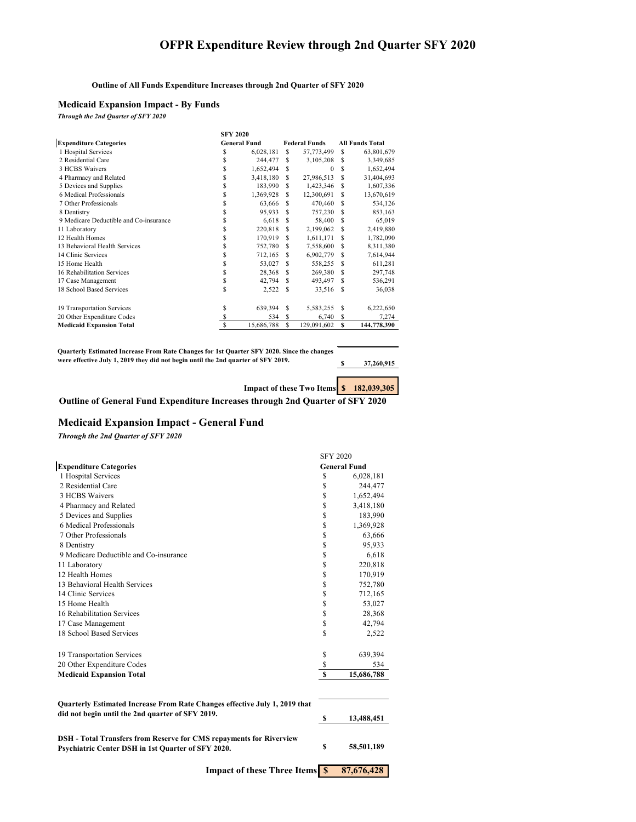## **OFPR Expenditure Review through 2nd Quarter SFY 2020**

#### **Outline of All Funds Expenditure Increases through 2nd Quarter of SFY 2020**

## **Medicaid Expansion Impact - By Funds**

*Through the 2nd Quarter of SFY 2020*

|                                        | <b>SFY 2020</b>     |            |     |                      |     |                        |  |  |
|----------------------------------------|---------------------|------------|-----|----------------------|-----|------------------------|--|--|
| <b>Expenditure Categories</b>          | <b>General Fund</b> |            |     | <b>Federal Funds</b> |     | <b>All Funds Total</b> |  |  |
| 1 Hospital Services                    | S                   | 6,028,181  | S.  | 57,773,499           | £.  | 63,801,679             |  |  |
| 2 Residential Care                     | S                   | 244,477    | S   | 3,105,208            | S   | 3,349,685              |  |  |
| 3 HCBS Waivers                         | S                   | 1,652,494  | S   | $\Omega$             | S   | 1,652,494              |  |  |
| 4 Pharmacy and Related                 | S                   | 3,418,180  | S   | 27,986,513           | \$. | 31,404,693             |  |  |
| 5 Devices and Supplies                 | S                   | 183,990    | S   | 1,423,346            | S   | 1,607,336              |  |  |
| 6 Medical Professionals                | S                   | 1,369,928  | \$. | 12,300,691           | S   | 13,670,619             |  |  |
| 7 Other Professionals                  | S                   | 63,666     | \$. | 470,460              | \$. | 534,126                |  |  |
| 8 Dentistry                            | S                   | 95,933     | S   | 757,230              | S   | 853,163                |  |  |
| 9 Medicare Deductible and Co-insurance | S                   | 6,618      | \$. | 58,400               | \$. | 65,019                 |  |  |
| 11 Laboratory                          | S                   | 220,818    | \$. | 2,199,062            | S   | 2,419,880              |  |  |
| 12 Health Homes                        | \$                  | 170,919    | S   | 1,611,171            | \$. | 1,782,090              |  |  |
| 13 Behavioral Health Services          | S                   | 752,780    | S   | 7,558,600            | S   | 8,311,380              |  |  |
| 14 Clinic Services                     | S                   | 712,165    | S   | 6,902,779            | S   | 7,614,944              |  |  |
| 15 Home Health                         | S                   | 53,027     | S   | 558,255              | S   | 611,281                |  |  |
| 16 Rehabilitation Services             | S                   | 28,368     | \$. | 269,380              | \$. | 297,748                |  |  |
| 17 Case Management                     | \$                  | 42,794     | \$. | 493,497              | S   | 536,291                |  |  |
| 18 School Based Services               | S                   | 2,522      | S.  | 33,516               | S   | 36,038                 |  |  |
| 19 Transportation Services             | S                   | 639,394    | S   | 5,583,255            | S   | 6,222,650              |  |  |
| 20 Other Expenditure Codes             | S                   | 534        | S   | 6,740                | S   | 7,274                  |  |  |
| <b>Medicaid Expansion Total</b>        | S                   | 15,686,788 | S   | 129,091,602          | s   | 144,778,390            |  |  |

**Quarterly Estimated Increase From Rate Changes for 1st Quarter SFY 2020. Since the changes were effective July 1, 2019 they did not begin until the 2nd quarter of SFY 2019.**

**\$ 37,260,915**

**Impact of these Two Items**  $\frac{\$}{\$}$  **<b>182,039,305** 

**Outline of General Fund Expenditure Increases through 2nd Quarter of SFY 2020**

## **Medicaid Expansion Impact - General Fund**

*Through the 2nd Quarter of SFY 2020*

|                                                                                                                                  | <b>SFY 2020</b> |                     |  |  |
|----------------------------------------------------------------------------------------------------------------------------------|-----------------|---------------------|--|--|
| <b>Expenditure Categories</b>                                                                                                    |                 | <b>General Fund</b> |  |  |
| 1 Hospital Services                                                                                                              | \$              | 6,028,181           |  |  |
| 2 Residential Care                                                                                                               | \$              | 244,477             |  |  |
| 3 HCBS Waivers                                                                                                                   | \$              | 1,652,494           |  |  |
| 4 Pharmacy and Related                                                                                                           | \$              | 3,418,180           |  |  |
| 5 Devices and Supplies                                                                                                           | \$              | 183,990             |  |  |
| 6 Medical Professionals                                                                                                          | \$              | 1,369,928           |  |  |
| 7 Other Professionals                                                                                                            | \$              | 63,666              |  |  |
| 8 Dentistry                                                                                                                      | \$              | 95,933              |  |  |
| 9 Medicare Deductible and Co-insurance                                                                                           | \$              | 6,618               |  |  |
| 11 Laboratory                                                                                                                    | \$              | 220,818             |  |  |
| 12 Health Homes                                                                                                                  | \$              | 170,919             |  |  |
| 13 Behavioral Health Services                                                                                                    | \$              | 752,780             |  |  |
| 14 Clinic Services                                                                                                               | \$              | 712,165             |  |  |
| 15 Home Health                                                                                                                   | \$              | 53,027              |  |  |
| 16 Rehabilitation Services                                                                                                       | \$              | 28,368              |  |  |
| 17 Case Management                                                                                                               | \$              | 42,794              |  |  |
| 18 School Based Services                                                                                                         | \$              | 2,522               |  |  |
| 19 Transportation Services                                                                                                       | \$              | 639,394             |  |  |
| 20 Other Expenditure Codes                                                                                                       | \$              | 534                 |  |  |
| <b>Medicaid Expansion Total</b>                                                                                                  | $\mathbf{s}$    | 15,686,788          |  |  |
| Quarterly Estimated Increase From Rate Changes effective July 1, 2019 that                                                       |                 |                     |  |  |
| did not begin until the 2nd quarter of SFY 2019.                                                                                 | \$              | 13,488,451          |  |  |
| <b>DSH</b> - Total Transfers from Reserve for CMS repayments for Riverview<br>Psychiatric Center DSH in 1st Quarter of SFY 2020. | \$              | 58,501,189          |  |  |

**Impact of these Three Items**  $\frac{\$}{\$}$  **87,676,428**